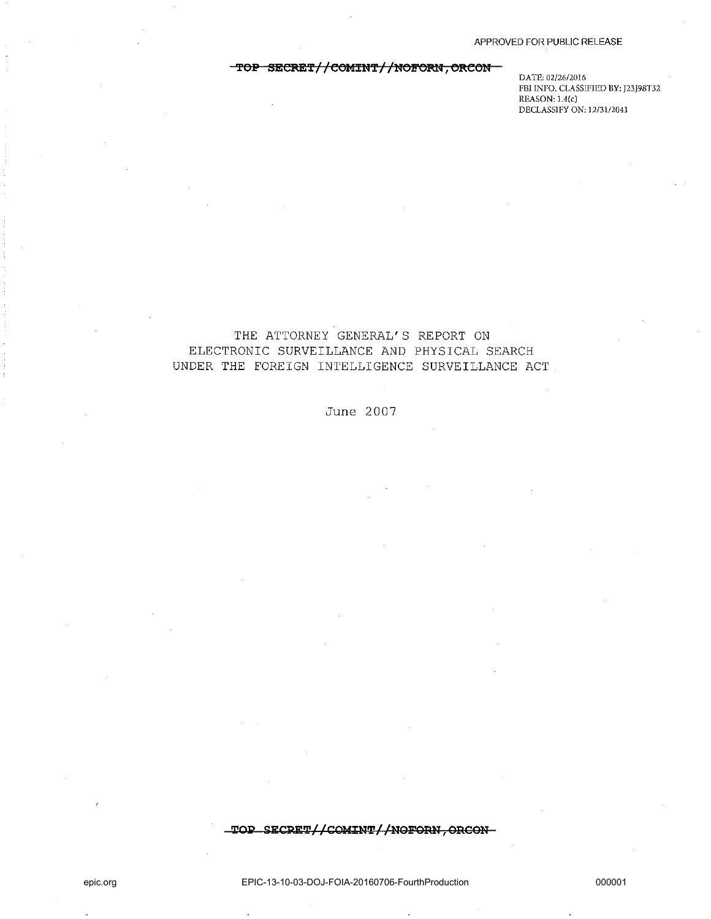# TOP SECRET//COMINT//NOFORN, ORCON-

**DATE: 02/26/2016 FBI INFO. CLASSIFIED BY: J23J98T32 REASON: 1.4(c) DECLASSIFY ON: 12/3112041** 

# THE ATTORNEY GENERAL'S REPORT ON ELECTRONIC SURVEILLANCE AND PHYSICAL SEARCH UNDER THE FOREIGN INTELLIGENCE SURVEILLANCE ACT

## June 2007

 $\textcolor{red}{\textbf{\texttt{top\_SECRET//COMINT//NOFORN}}}, \textcolor{red}{\textbf{ORCON-}}$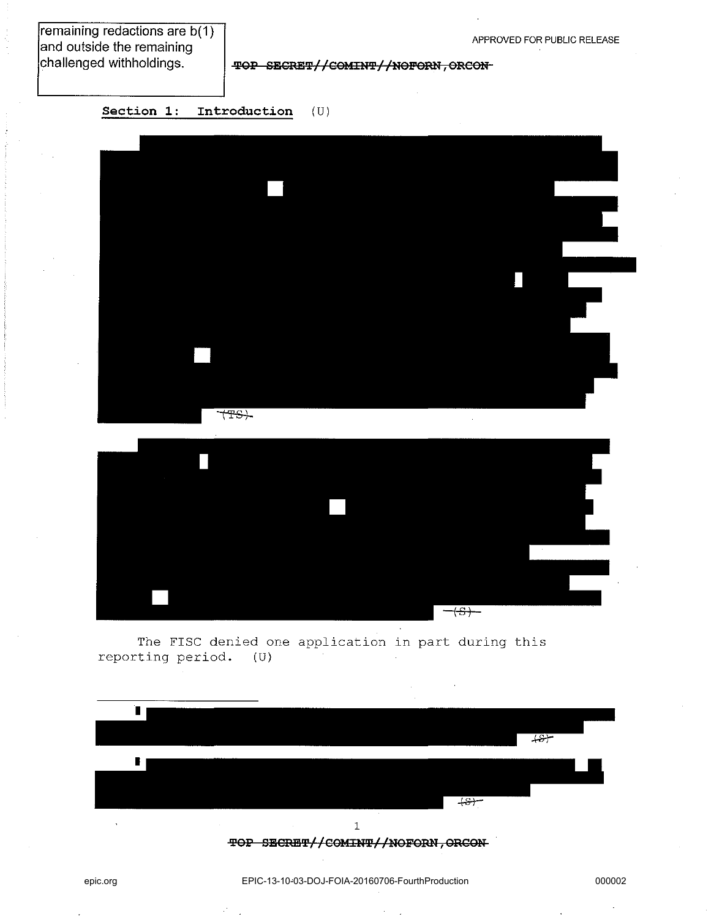remaining redactions are b(1) and outside the remaining  $|$ challenged withholdings.

**'l'GP SESRE'l'//SGUHI!F//nGPORtI, OReon** 

**Section 1: Introduction** (U)







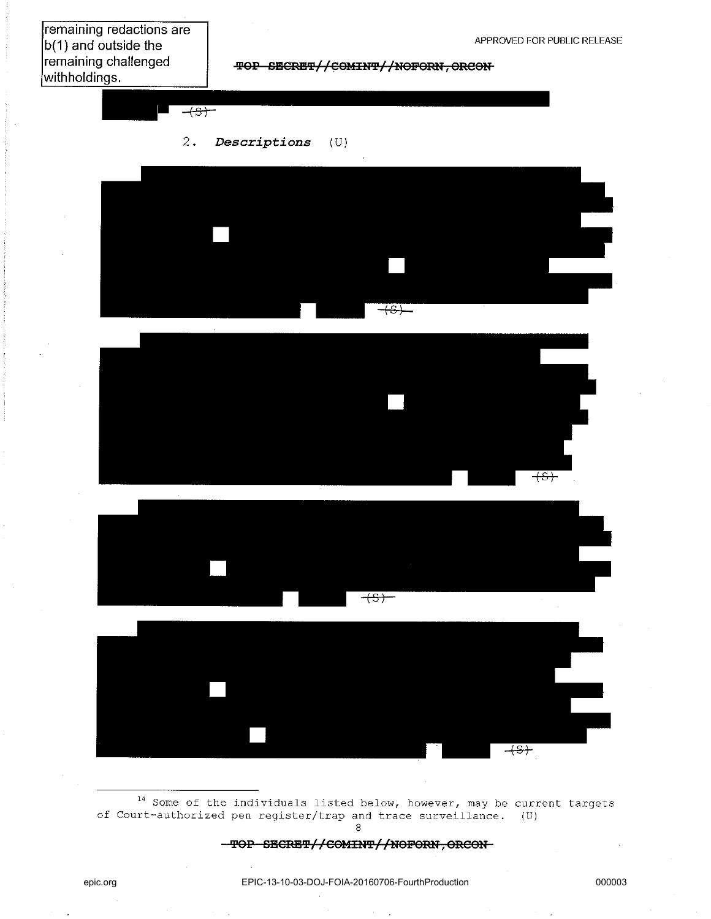remaining redactions are b(1) and outside the remaining challenged withholdings.

**TOP SECRET//COMINT//NOFORN, ORCON** 

2 • *Descriptions* (U)

 $\overline{+s}$ 









 $14$  Some of the individuals listed below, however, may be current targets of Court-authorized pen register/trap and trace surveillance. IU) 8

**'PSP** SEGRE'P//G9l!!IU'P//nOPORU, ORGOn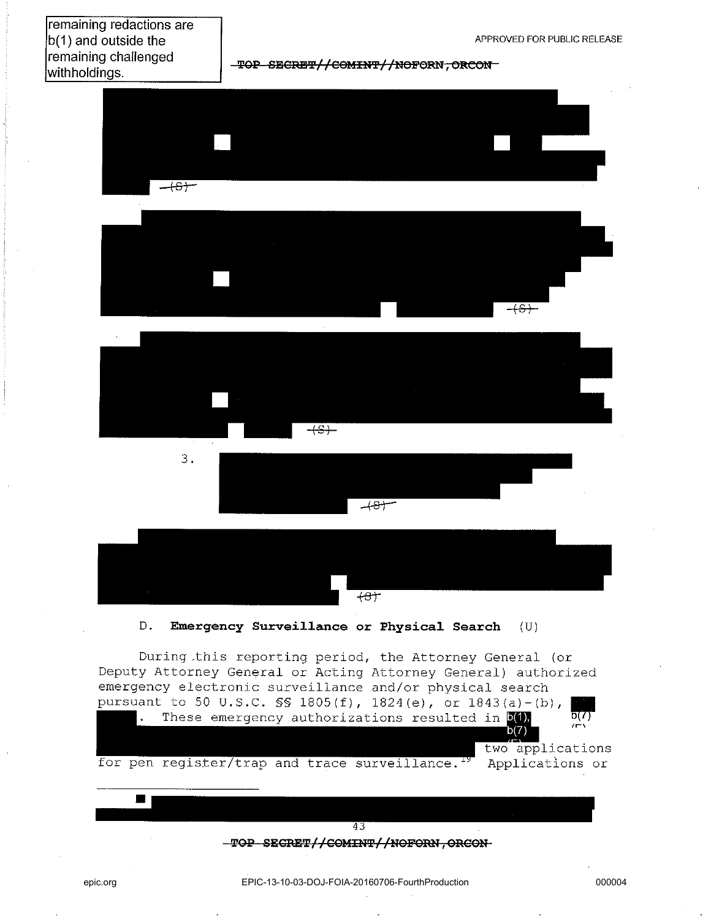remaining redactions are b(1) and outside the remaining challenged withholdings.

**I'QP SECRB'P//COlfIU'f'//NeFORN, eReON** 









D. **Emergency Surveillance or Physical Search** (U)

During .this reporting period, the Attorney General (or Deputy Attorney General or Acting Attorney General) authorized emergency electronic surveillance and/or physical search



43 **TOP SECRET//COMINT//NOFORN, ORCON-**

 $\blacksquare$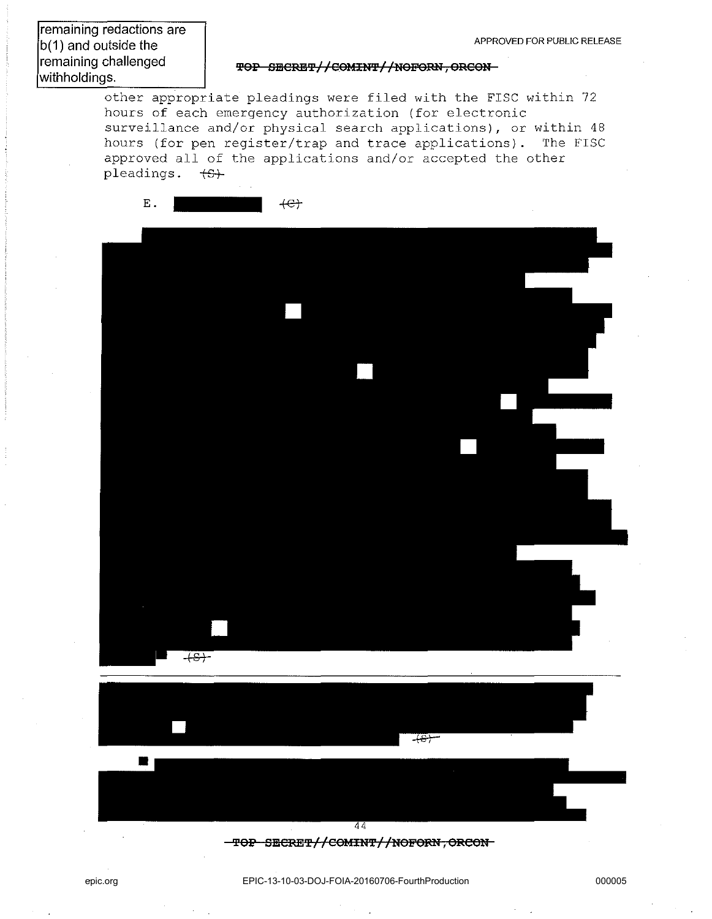**TOP SECRET//COMINT//NOFORN, ORCON-**

other appropriate pleadings were filed with the FISC within 72 hours of each emergency authorization (for electronic surveillance and/or physical search applications), or within 48 hours (for pen register/trap and trace applications). The FISC approved all of the applications and/or accepted the other pleadings.  $\overline{S}$ +

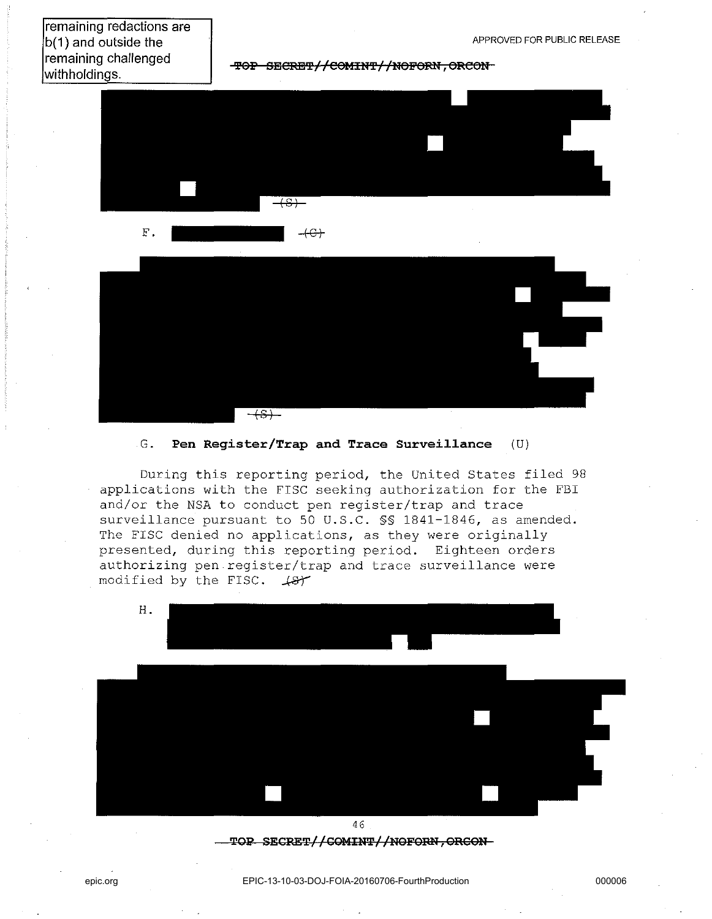# remaining redactions are  $|b(1)$  and outside the remaining challenged withholdings.

**TOP SECRET//COMINT//NOFORN, ORCON-**



# $\overline{\overline{+s+}}$

#### G. **Pen Register/Trap and Trace Surveillance** (U)

During this reporting period, the United States filed 98 applications with the FISC seeking authorization for the FBI and/or the NSA to conduct pen register/trap and trace surveillance pursuant to 50 U.S.C. §§ 1841-1846, as amended. The FISC denied no applications, as they were originally presented, during this reporting period. Eighteen orders authorizing pen register/trap and trace surveillance were modified by the FISC.  $48<sup>+</sup>$ 



### TOP SECRET//COMINT//NOFORN, ORCON-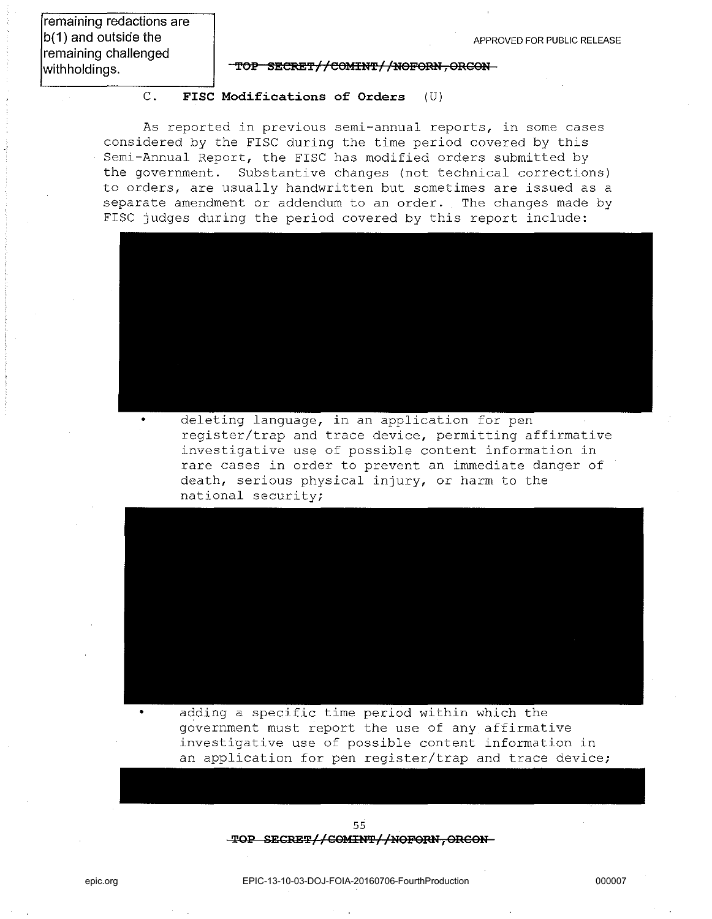**remaining redactions are b(1) and outside the remaining challenged**  withholdings.

#### TOP SECRET//COMINT//NOFORN, ORGON

#### C. **FISC Modifications of Orders** (U)

As reported in previous semi-annual reports, in some cases considered by the FISC during the time period covered by this Semi-Annual Report, the FISC has modified orders submitted by the government. Substantive changes (not technical corrections) to orders, are usually handwritten but sometimes are issued as a separate amendment or addendum to an order. The changes made by FISC judges during the period covered by this report include:



deleting language, in an application for pen register/trap and trace device, permitting affirmative investigative use of possible content information in rare cases in order to prevent an immediate danger of death, serious physical injury, or harm to the national security;



adding a specific time period within which the government must report the use of any affirmative investigative use of possible content information in an application for pen register/trap and trace device;

> 55  $-$ TOP SECRET//COMINT//NOFORN, ORCON-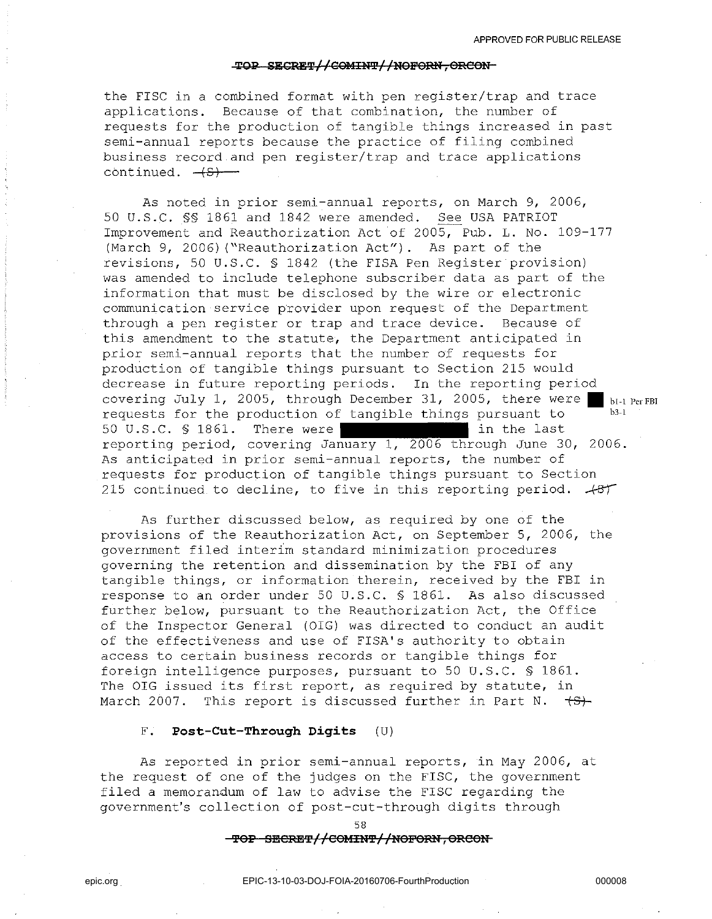#### **TOP SECRET//COMINT//NOFORN, ORCON-**

the FISC in a combined format with pen register/trap and trace applications. Because of that combination, the number of requests for the production of tangible things increased in past semi-annual reports because the practice of filing combined business record and pen register/trap and trace applications continued.  $\leftarrow$ 

As noted in prior semi-annual reports, on March 9, 2006, 50 U.S.C. §§ 1861 and 1842 were amended. See USA PATRIOT Improvement and Reauthorization Act of 2005, Pub. L. No. 109-177 (March 9, 2006) ("Reauthorization Act"). As part of the revisions, 50 U.S.C. § 1842 (the FISA Pen Register provision) was amended to include telephone subscriber data as part of the information that must be disclosed by the wire or electronic communication service provider upon request of the Department through a pen register or trap and trace device. Because of this amendment to the statute, the Department anticipated in prior semi-annual reports that the number of requests for production of tangible things pursuant to Section 215 would decrease in future reporting periods. In the reporting period covering July 1, 2005, through December 31, 2005, there were  $\blacksquare$  bi-I Per FBI requests for the production of tangible things pursuant to 50 U.S.C. § 1861. There were in the last reporting period, covering January 1, 2006 through June 30, 2006. As anticipated in prior semi-annual reports, the number of requests for production of tangible things pursuant to Section 215 continued to decline, to five in this reporting period.  $+87$ 

As further discussed below, as required by one of the provisions of the Reauthorization Act, on September 5, 2006, the government filed interim standard minimization procedures governing the retention and dissemination by the FBI of any tangible things, or information therein, received by the FBI in response to an order under 50 U.S.C. § 1861. As also discussed further below, pursuant to the Reauthorization Act, the Office of the Inspector General (OIG) was directed to conduct an audit of the effectiveness and use of FISA's authority to obtain access to certain business records or tangible things for foreign intelligence purposes, pursuant to 50 U.S.C. § 1861. The OIG issued its first report, as required by statute, in March 2007. This report is discussed further in Part N.  $\leftarrow$ 

#### F. **Post-Cut-Through Digits** (U)

As reported in prior semi-annual reports, in May 2006, at the request of one of the judges on the FISC, the government filed a memorandum of law to advise the FISC regarding the government's collection of post-cut-through digits through

58

#### $-$ **TOP SECRET//COMINT//NOFORN, ORCON**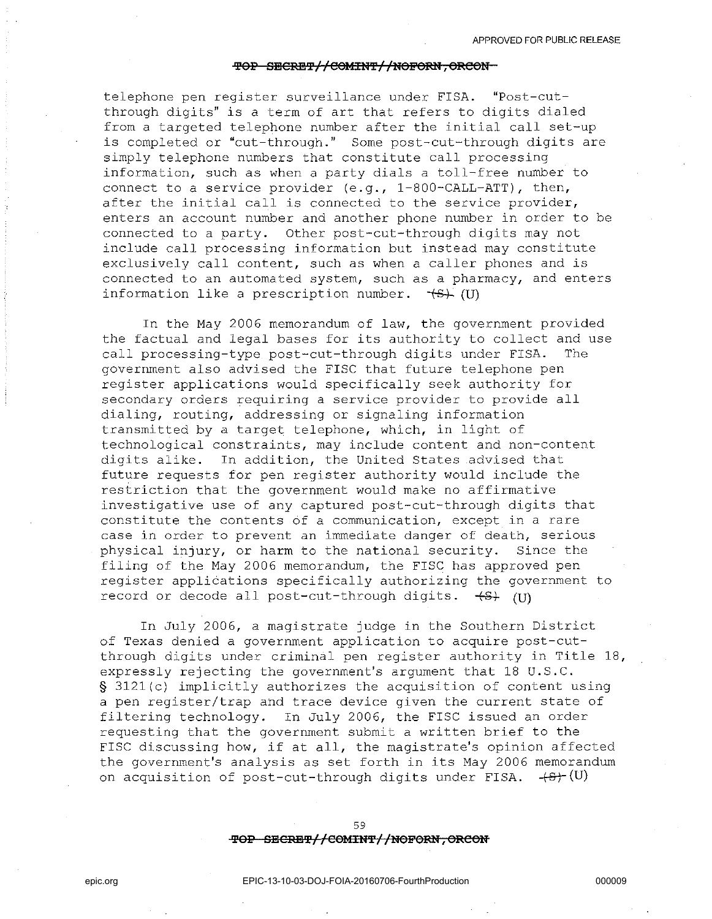#### $\text{FOP}-\text{SBERT}/\text{/COMINT}/\text{/NOFORM}$ , ORCON

telephone pen register surveillance under FISA. "Post-cutthrough digits" is a term of art that refers to digits dialed from a targeted telephone number after the initial call set-up is completed or "cut-through." Some post-cut-through digits are simply telephone numbers that constitute call processing information, such as when a party dials a toll-free number to connect to a service provider  $(e,q, 1-800-CALL-ATT)$ , then, after the initial call is connected to the service provider, enters an account number and another phone number in order to be connected to a party. Other post-cut-through digits may not include call processing information but instead may constitute exclusively call content, such as when a caller phones and is connected to an automated system, such as a pharmacy, and enters information like a prescription number.  $\overline{f}(V)$  *(V)* 

In the May 2006 memorandum of law, the government provided the factual and legal bases for its authority to collect and use call processing-type post-cut-through digits under FISA. The government also advised the FISC that future telephone pen register applications would specifically seek authority for secondary orders requiring a service provider to provide all dialing, routing, addressing or signaling information transmitted by a target telephone, which, in light of technological constraints, may include content and non-content digits alike. In addition, the United States advised that future requests for pen register authority would include the restriction that the government would make no affirmative investigative use of any captured post-cut-through digits that constitute the contents of a communication, except in a rare case in order to prevent an immediate danger of death, serious physical injury, or harm to the national security. Since the filing of the May 2006 memorandum, the FISC has approved pen register applications specifically authorizing the government to record or decode all post-cut-through digits.  $\leftarrow$  *(V)* 

In July 2006, a magistrate judge in the Southern District of Texas denied a government application to acquire post-cutthrough digits under criminal pen register authority in Title 18, expressly rejecting the government's argument that 18 U.S.C. § 3121(c) implicitly authorizes the acquisition of content using a pen register/trap and trace device given the current state of filtering technology. In July 2006, the FISC issued an order requesting that the government submit a written brief to the FISC discussing how, if at all, the magistrate's opinion affected the government's analysis as set forth in its May 2006 memorandum on acquisition of post-cut-through digits under FISA.  $+8+(0)$ 

> 59  $\overline{POP - SECRE}$  //COMINT//NOFORN, ORCON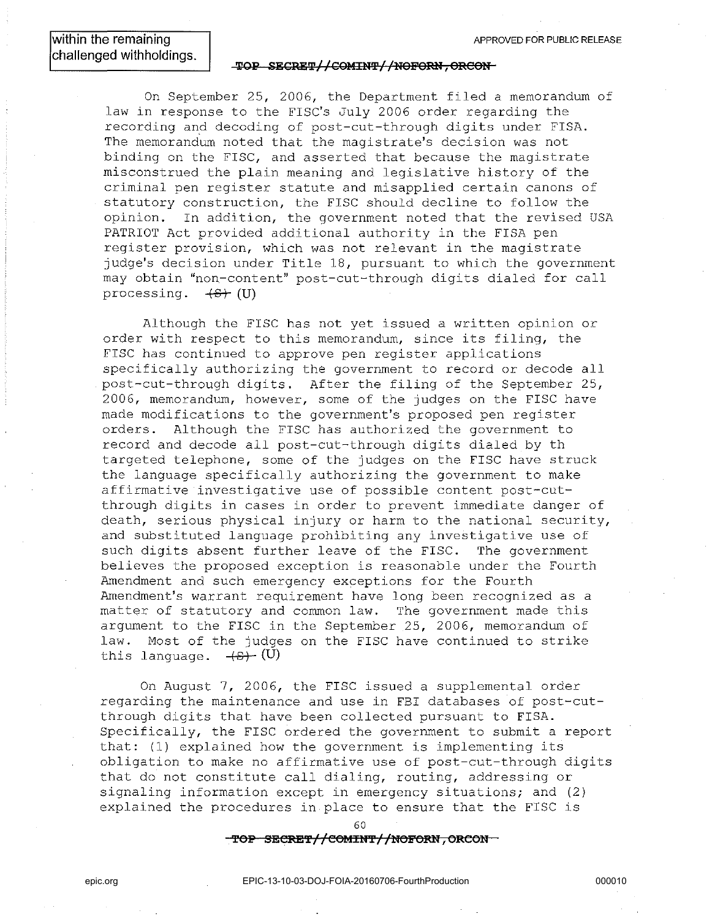**within the remaining challenged withholdings.** 

#### **TOP SECRET//COMINT//NOFORN, ORCON-**

On September 25, 2006, the Department filed a memorandum of law in response to the FISC's July 2006 order regarding the recording and decoding of post-cut-through digits under FISA. The memorandum noted that the magistrate's decision was not binding on the FISC, and asserted that because the magistrate misconstrued the plain meaning and legislative history of the criminal pen register statute and misapplied certain canons of statutory construction, the FISC should decline to follow the opinion. In addition, the government noted that the revised USA PATRIOT Act provided additional authority in the FISA pen register provision, which was not relevant in the magistrate judge's decision under Title 18, pursuant to which the government may obtain "non-content" post-cut-through digits dialed for call processing.  $+S+$  (U)

Although the FISC has not yet issued a written opinion or order with respect to this memorandum, since its filing, the FISC has continued to approve pen register applications specifically authorizing the government to record or decode all post-cut-through digits. After the filing of the September 25, 2006, memorandum, however, some of the judges on the FISC have made modifications to the government's proposed pen register orders. Although the FISC has authorized the government to record and decode all post-cut-through digits dialed by th targeted telephone, some of the judges on the FISC have struck the language specifically authorizing the government to make affirmative investigative use of possible content post-cutthrough digits in cases in order to prevent immediate danger of death, serious physical injury or harm to the national security, and substituted language prohibiting any investigative use of such digits absent further leave of the FISC. The government believes the proposed exception is reasonable under the Fourth Amendment and such emergency exceptions for the Fourth Amendment's warrant requirement have long been recognized as a matter of statutory and common law. The government made this argument to the FISC in the September 25, 2006, memorandum of law. Most of the judges on the FISC have continued to strike this language.  $\leftarrow$   $\leftarrow$  (U)

On August 7, 2006, the FISC issued a supplemental order regarding the maintenance and use in FBI databases of post-cutthrough digits that have been collected pursuant to FISA. Specifically, the FISC ordered the government to submit a report that: (1) explained how the government is implementing its obligation to make no affirmative use of post-cut-through digits that do not constitute call dialing, routing, addressing or signaling information except in emergency situations; and (2) explained the procedures in place to ensure that the FISC is

 $60$ 

**TOP SECRET//COMINT//NOFORN, ORCON**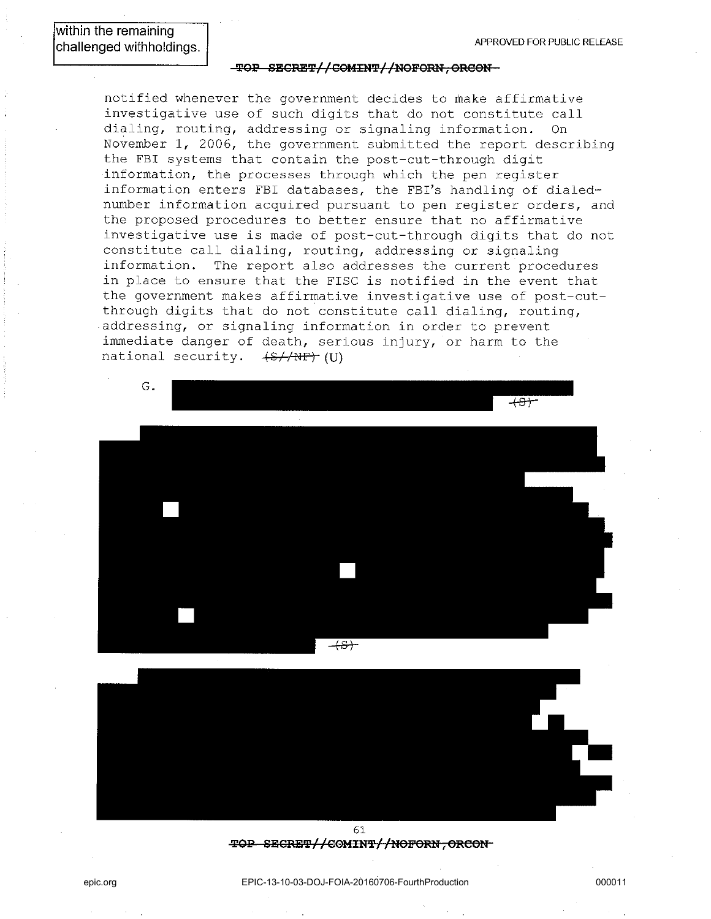#### $\text{-} \texttt{TOP}$  SECRET//COMINT//NOFORN, ORCON-

notified whenever the government decides to make affirmative investigative use of such digits that do not constitute call dialing, routing, addressing or signaling information. On November 1, 2006, the government submitted the report describing the FBI systems that contain the post-cut-through digit information, the processes through which the pen register information enters FBI databases, the FBI's handling of dialednumber information acquired pursuant to pen register orders, and the proposed procedures to better ensure that no affirmative investigative use is made of post-cut-through digits that do not constitute call dialing, routing, addressing or signaling information. The report also addresses the current procedures in place to ensure that the FISC is notified in the event that the government makes affirmative investigative use of post-cutthrough digits that do not constitute call dialing, routing, addressing, or signaling information in order to prevent immediate danger of death, serious injury, or harm to the national security. (S//NP) (U)





61 **TOP SECRET//COMINT//NOFORN, ORCON**